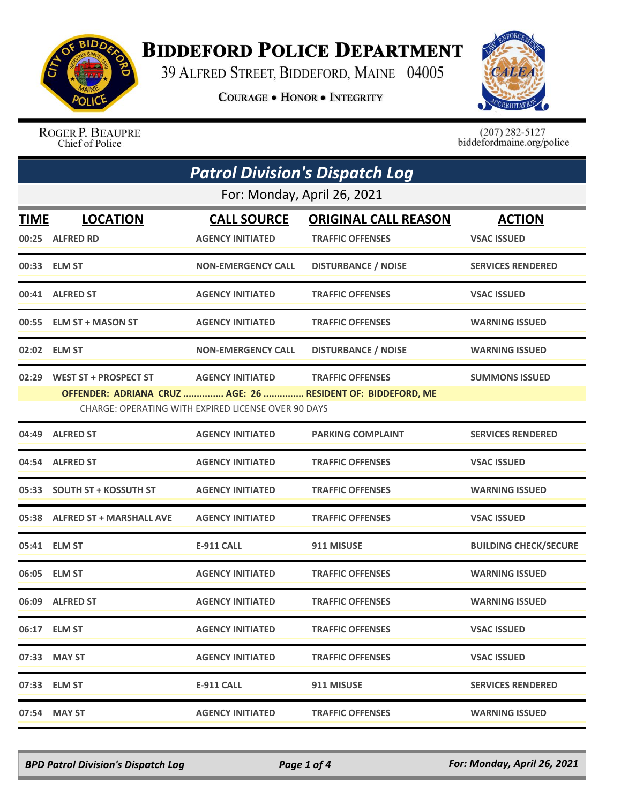

## **BIDDEFORD POLICE DEPARTMENT**

39 ALFRED STREET, BIDDEFORD, MAINE 04005

**COURAGE . HONOR . INTEGRITY** 



ROGER P. BEAUPRE Chief of Police

 $(207)$  282-5127<br>biddefordmaine.org/police

| <b>Patrol Division's Dispatch Log</b> |                                |                                                     |                                                             |                              |  |  |
|---------------------------------------|--------------------------------|-----------------------------------------------------|-------------------------------------------------------------|------------------------------|--|--|
|                                       | For: Monday, April 26, 2021    |                                                     |                                                             |                              |  |  |
| TIME                                  | <b>LOCATION</b>                | <b>CALL SOURCE</b>                                  | <b>ORIGINAL CALL REASON</b>                                 | <b>ACTION</b>                |  |  |
|                                       | 00:25 ALFRED RD                | <b>AGENCY INITIATED</b>                             | <b>TRAFFIC OFFENSES</b>                                     | <b>VSAC ISSUED</b>           |  |  |
|                                       | 00:33 ELM ST                   | <b>NON-EMERGENCY CALL</b>                           | <b>DISTURBANCE / NOISE</b>                                  | <b>SERVICES RENDERED</b>     |  |  |
|                                       | 00:41 ALFRED ST                | <b>AGENCY INITIATED</b>                             | <b>TRAFFIC OFFENSES</b>                                     | <b>VSAC ISSUED</b>           |  |  |
|                                       | 00:55 ELM ST + MASON ST        | <b>AGENCY INITIATED</b>                             | <b>TRAFFIC OFFENSES</b>                                     | <b>WARNING ISSUED</b>        |  |  |
|                                       | 02:02 ELM ST                   | <b>NON-EMERGENCY CALL</b>                           | <b>DISTURBANCE / NOISE</b>                                  | <b>WARNING ISSUED</b>        |  |  |
|                                       | 02:29 WEST ST + PROSPECT ST    | <b>AGENCY INITIATED</b>                             | <b>TRAFFIC OFFENSES</b>                                     | <b>SUMMONS ISSUED</b>        |  |  |
|                                       |                                |                                                     | OFFENDER: ADRIANA CRUZ  AGE: 26  RESIDENT OF: BIDDEFORD, ME |                              |  |  |
|                                       |                                | CHARGE: OPERATING WITH EXPIRED LICENSE OVER 90 DAYS |                                                             |                              |  |  |
| 04:49                                 | <b>ALFRED ST</b>               | <b>AGENCY INITIATED</b>                             | <b>PARKING COMPLAINT</b>                                    | <b>SERVICES RENDERED</b>     |  |  |
|                                       | 04:54 ALFRED ST                | <b>AGENCY INITIATED</b>                             | <b>TRAFFIC OFFENSES</b>                                     | <b>VSAC ISSUED</b>           |  |  |
|                                       | 05:33 SOUTH ST + KOSSUTH ST    | <b>AGENCY INITIATED</b>                             | <b>TRAFFIC OFFENSES</b>                                     | <b>WARNING ISSUED</b>        |  |  |
|                                       | 05:38 ALFRED ST + MARSHALL AVE | <b>AGENCY INITIATED</b>                             | <b>TRAFFIC OFFENSES</b>                                     | <b>VSAC ISSUED</b>           |  |  |
|                                       | 05:41 ELM ST                   | <b>E-911 CALL</b>                                   | 911 MISUSE                                                  | <b>BUILDING CHECK/SECURE</b> |  |  |
|                                       | 06:05 ELM ST                   | <b>AGENCY INITIATED</b>                             | <b>TRAFFIC OFFENSES</b>                                     | <b>WARNING ISSUED</b>        |  |  |
|                                       | 06:09 ALFRED ST                | <b>AGENCY INITIATED</b>                             | <b>TRAFFIC OFFENSES</b>                                     | <b>WARNING ISSUED</b>        |  |  |
|                                       | 06:17 ELM ST                   | <b>AGENCY INITIATED</b>                             | <b>TRAFFIC OFFENSES</b>                                     | <b>VSAC ISSUED</b>           |  |  |
|                                       | 07:33 MAY ST                   | <b>AGENCY INITIATED</b>                             | <b>TRAFFIC OFFENSES</b>                                     | <b>VSAC ISSUED</b>           |  |  |
|                                       | 07:33 ELM ST                   | <b>E-911 CALL</b>                                   | 911 MISUSE                                                  | <b>SERVICES RENDERED</b>     |  |  |
|                                       | 07:54 MAY ST                   | <b>AGENCY INITIATED</b>                             | <b>TRAFFIC OFFENSES</b>                                     | <b>WARNING ISSUED</b>        |  |  |

*BPD Patrol Division's Dispatch Log Page 1 of 4 For: Monday, April 26, 2021*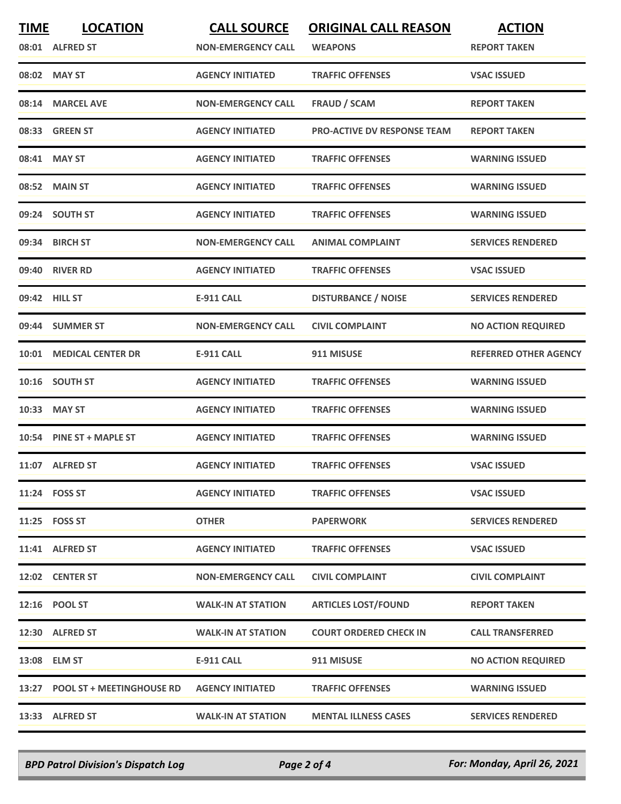| <b>TIME</b> | <b>LOCATION</b>                 | <b>CALL SOURCE</b>        | <b>ORIGINAL CALL REASON</b>        | <b>ACTION</b>                |
|-------------|---------------------------------|---------------------------|------------------------------------|------------------------------|
|             | 08:01 ALFRED ST                 | <b>NON-EMERGENCY CALL</b> | <b>WEAPONS</b>                     | <b>REPORT TAKEN</b>          |
|             | 08:02 MAY ST                    | <b>AGENCY INITIATED</b>   | <b>TRAFFIC OFFENSES</b>            | <b>VSAC ISSUED</b>           |
|             | 08:14 MARCEL AVE                | <b>NON-EMERGENCY CALL</b> | <b>FRAUD / SCAM</b>                | <b>REPORT TAKEN</b>          |
|             | 08:33 GREEN ST                  | <b>AGENCY INITIATED</b>   | <b>PRO-ACTIVE DV RESPONSE TEAM</b> | <b>REPORT TAKEN</b>          |
|             | 08:41 MAY ST                    | <b>AGENCY INITIATED</b>   | <b>TRAFFIC OFFENSES</b>            | <b>WARNING ISSUED</b>        |
|             | 08:52 MAIN ST                   | <b>AGENCY INITIATED</b>   | <b>TRAFFIC OFFENSES</b>            | <b>WARNING ISSUED</b>        |
|             | 09:24 SOUTH ST                  | <b>AGENCY INITIATED</b>   | <b>TRAFFIC OFFENSES</b>            | <b>WARNING ISSUED</b>        |
|             | 09:34 BIRCH ST                  | <b>NON-EMERGENCY CALL</b> | <b>ANIMAL COMPLAINT</b>            | <b>SERVICES RENDERED</b>     |
|             | 09:40 RIVER RD                  | <b>AGENCY INITIATED</b>   | <b>TRAFFIC OFFENSES</b>            | <b>VSAC ISSUED</b>           |
|             | 09:42 HILL ST                   | <b>E-911 CALL</b>         | <b>DISTURBANCE / NOISE</b>         | <b>SERVICES RENDERED</b>     |
|             | 09:44 SUMMER ST                 | <b>NON-EMERGENCY CALL</b> | <b>CIVIL COMPLAINT</b>             | <b>NO ACTION REQUIRED</b>    |
|             | 10:01 MEDICAL CENTER DR         | <b>E-911 CALL</b>         | 911 MISUSE                         | <b>REFERRED OTHER AGENCY</b> |
|             | 10:16 SOUTH ST                  | <b>AGENCY INITIATED</b>   | <b>TRAFFIC OFFENSES</b>            | <b>WARNING ISSUED</b>        |
| 10:33       | <b>MAY ST</b>                   | <b>AGENCY INITIATED</b>   | <b>TRAFFIC OFFENSES</b>            | <b>WARNING ISSUED</b>        |
|             | 10:54 PINE ST + MAPLE ST        | <b>AGENCY INITIATED</b>   | <b>TRAFFIC OFFENSES</b>            | <b>WARNING ISSUED</b>        |
|             | 11:07 ALFRED ST                 | <b>AGENCY INITIATED</b>   | <b>TRAFFIC OFFENSES</b>            | <b>VSAC ISSUED</b>           |
|             | 11:24 FOSS ST                   | <b>AGENCY INITIATED</b>   | <b>TRAFFIC OFFENSES</b>            | <b>VSAC ISSUED</b>           |
|             | 11:25 FOSS ST                   | <b>OTHER</b>              | <b>PAPERWORK</b>                   | <b>SERVICES RENDERED</b>     |
|             | 11:41 ALFRED ST                 | <b>AGENCY INITIATED</b>   | <b>TRAFFIC OFFENSES</b>            | <b>VSAC ISSUED</b>           |
|             | 12:02 CENTER ST                 | <b>NON-EMERGENCY CALL</b> | <b>CIVIL COMPLAINT</b>             | <b>CIVIL COMPLAINT</b>       |
|             | 12:16 POOL ST                   | <b>WALK-IN AT STATION</b> | <b>ARTICLES LOST/FOUND</b>         | <b>REPORT TAKEN</b>          |
|             | 12:30 ALFRED ST                 | <b>WALK-IN AT STATION</b> | <b>COURT ORDERED CHECK IN</b>      | <b>CALL TRANSFERRED</b>      |
|             | 13:08 ELM ST                    | <b>E-911 CALL</b>         | 911 MISUSE                         | <b>NO ACTION REQUIRED</b>    |
|             | 13:27 POOL ST + MEETINGHOUSE RD | <b>AGENCY INITIATED</b>   | <b>TRAFFIC OFFENSES</b>            | <b>WARNING ISSUED</b>        |
|             | 13:33 ALFRED ST                 | <b>WALK-IN AT STATION</b> | <b>MENTAL ILLNESS CASES</b>        | <b>SERVICES RENDERED</b>     |

*BPD Patrol Division's Dispatch Log Page 2 of 4 For: Monday, April 26, 2021*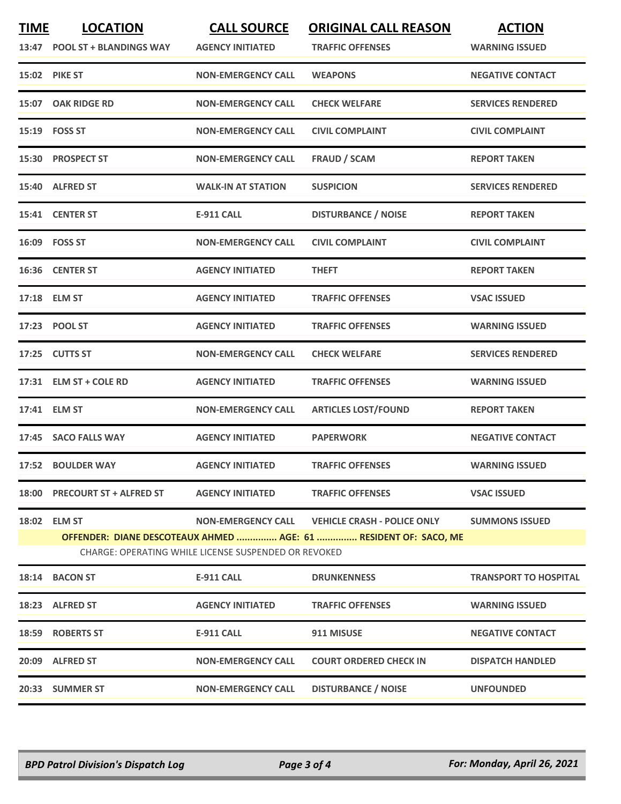| <b>TIME</b> | <b>LOCATION</b><br>13:47 POOL ST + BLANDINGS WAY | <b>CALL SOURCE</b><br><b>AGENCY INITIATED</b>                                     | <b>ORIGINAL CALL REASON</b><br><b>TRAFFIC OFFENSES</b>                                                 | <b>ACTION</b><br><b>WARNING ISSUED</b> |
|-------------|--------------------------------------------------|-----------------------------------------------------------------------------------|--------------------------------------------------------------------------------------------------------|----------------------------------------|
|             | 15:02 PIKE ST                                    | <b>NON-EMERGENCY CALL</b>                                                         | <b>WEAPONS</b>                                                                                         | <b>NEGATIVE CONTACT</b>                |
|             | 15:07 OAK RIDGE RD                               | <b>NON-EMERGENCY CALL</b>                                                         | <b>CHECK WELFARE</b>                                                                                   | <b>SERVICES RENDERED</b>               |
|             | 15:19    FOSS ST                                 | <b>NON-EMERGENCY CALL</b>                                                         | <b>CIVIL COMPLAINT</b>                                                                                 | <b>CIVIL COMPLAINT</b>                 |
|             | 15:30 PROSPECT ST                                | <b>NON-EMERGENCY CALL</b>                                                         | <b>FRAUD / SCAM</b>                                                                                    | <b>REPORT TAKEN</b>                    |
|             | 15:40 ALFRED ST                                  | <b>WALK-IN AT STATION</b>                                                         | <b>SUSPICION</b>                                                                                       | <b>SERVICES RENDERED</b>               |
|             | 15:41 CENTER ST                                  | <b>E-911 CALL</b>                                                                 | <b>DISTURBANCE / NOISE</b>                                                                             | <b>REPORT TAKEN</b>                    |
|             | 16:09 FOSS ST                                    | <b>NON-EMERGENCY CALL</b>                                                         | <b>CIVIL COMPLAINT</b>                                                                                 | <b>CIVIL COMPLAINT</b>                 |
|             | 16:36 CENTER ST                                  | <b>AGENCY INITIATED</b>                                                           | <b>THEFT</b>                                                                                           | <b>REPORT TAKEN</b>                    |
|             | 17:18 ELM ST                                     | <b>AGENCY INITIATED</b>                                                           | <b>TRAFFIC OFFENSES</b>                                                                                | <b>VSAC ISSUED</b>                     |
|             | 17:23 POOL ST                                    | <b>AGENCY INITIATED</b>                                                           | <b>TRAFFIC OFFENSES</b>                                                                                | <b>WARNING ISSUED</b>                  |
|             | 17:25 CUTTS ST                                   | <b>NON-EMERGENCY CALL</b>                                                         | <b>CHECK WELFARE</b>                                                                                   | <b>SERVICES RENDERED</b>               |
|             | 17:31 ELM ST + COLE RD                           | <b>AGENCY INITIATED</b>                                                           | <b>TRAFFIC OFFENSES</b>                                                                                | <b>WARNING ISSUED</b>                  |
|             | 17:41 ELM ST                                     | <b>NON-EMERGENCY CALL</b>                                                         | <b>ARTICLES LOST/FOUND</b>                                                                             | <b>REPORT TAKEN</b>                    |
|             | 17:45 SACO FALLS WAY                             | <b>AGENCY INITIATED</b>                                                           | <b>PAPERWORK</b>                                                                                       | <b>NEGATIVE CONTACT</b>                |
|             | 17:52 BOULDER WAY                                | <b>AGENCY INITIATED</b>                                                           | <b>TRAFFIC OFFENSES</b>                                                                                | <b>WARNING ISSUED</b>                  |
|             | 18:00 PRECOURT ST + ALFRED ST                    | <b>AGENCY INITIATED</b>                                                           | <b>TRAFFIC OFFENSES</b>                                                                                | <b>VSAC ISSUED</b>                     |
|             | 18:02 ELM ST                                     | <b>NON-EMERGENCY CALL</b><br>CHARGE: OPERATING WHILE LICENSE SUSPENDED OR REVOKED | <b>VEHICLE CRASH - POLICE ONLY</b><br>OFFENDER: DIANE DESCOTEAUX AHMED  AGE: 61  RESIDENT OF: SACO, ME | <b>SUMMONS ISSUED</b>                  |
|             | 18:14 BACON ST                                   | <b>E-911 CALL</b>                                                                 | <b>DRUNKENNESS</b>                                                                                     | <b>TRANSPORT TO HOSPITAL</b>           |
|             | 18:23 ALFRED ST                                  | <b>AGENCY INITIATED</b>                                                           | <b>TRAFFIC OFFENSES</b>                                                                                | <b>WARNING ISSUED</b>                  |
| 18:59       | <b>ROBERTS ST</b>                                | <b>E-911 CALL</b>                                                                 | 911 MISUSE                                                                                             | <b>NEGATIVE CONTACT</b>                |
|             | 20:09 ALFRED ST                                  | <b>NON-EMERGENCY CALL</b>                                                         | <b>COURT ORDERED CHECK IN</b>                                                                          | <b>DISPATCH HANDLED</b>                |
|             | 20:33 SUMMER ST                                  | <b>NON-EMERGENCY CALL</b>                                                         | <b>DISTURBANCE / NOISE</b>                                                                             | <b>UNFOUNDED</b>                       |